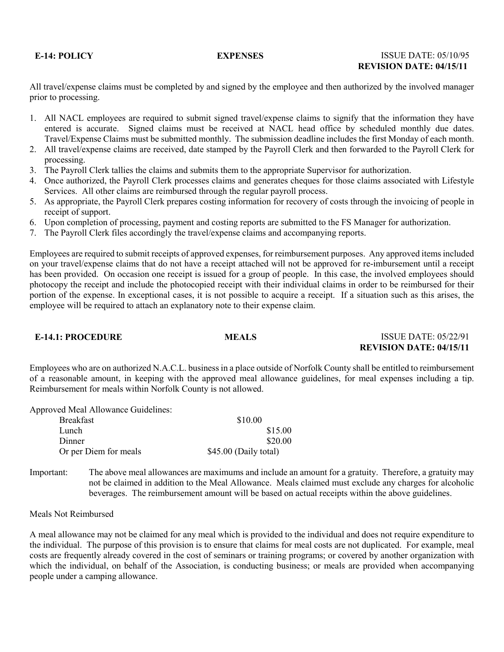# **E-14: POLICY EXPENSES** ISSUE DATE: 05/10/95 **REVISION DATE: 04/15/11**

All travel/expense claims must be completed by and signed by the employee and then authorized by the involved manager prior to processing.

- 1. All NACL employees are required to submit signed travel/expense claims to signify that the information they have entered is accurate. Signed claims must be received at NACL head office by scheduled monthly due dates. Travel/Expense Claims must be submitted monthly. The submission deadline includes the first Monday of each month.
- 2. All travel/expense claims are received, date stamped by the Payroll Clerk and then forwarded to the Payroll Clerk for processing.
- 3. The Payroll Clerk tallies the claims and submits them to the appropriate Supervisor for authorization.
- 4. Once authorized, the Payroll Clerk processes claims and generates cheques for those claims associated with Lifestyle Services. All other claims are reimbursed through the regular payroll process.
- 5. As appropriate, the Payroll Clerk prepares costing information for recovery of costs through the invoicing of people in receipt of support.
- 6. Upon completion of processing, payment and costing reports are submitted to the FS Manager for authorization.
- 7. The Payroll Clerk files accordingly the travel/expense claims and accompanying reports.

Employees are required to submit receipts of approved expenses, for reimbursement purposes. Any approved items included on your travel/expense claims that do not have a receipt attached will not be approved for re-imbursement until a receipt has been provided. On occasion one receipt is issued for a group of people. In this case, the involved employees should photocopy the receipt and include the photocopied receipt with their individual claims in order to be reimbursed for their portion of the expense. In exceptional cases, it is not possible to acquire a receipt. If a situation such as this arises, the employee will be required to attach an explanatory note to their expense claim.

**E-14.1: PROCEDURE MEALS** ISSUE DATE: 05/22/91 **REVISION DATE: 04/15/11**

Employees who are on authorized N.A.C.L. business in a place outside of Norfolk County shall be entitled to reimbursement of a reasonable amount, in keeping with the approved meal allowance guidelines, for meal expenses including a tip. Reimbursement for meals within Norfolk County is not allowed.

Approved Meal Allowance Guidelines:

| <b>Breakfast</b>      | \$10.00               |
|-----------------------|-----------------------|
| Lunch                 | \$15.00               |
| Dinner                | \$20.00               |
| Or per Diem for meals | \$45.00 (Daily total) |

Important: The above meal allowances are maximums and include an amount for a gratuity. Therefore, a gratuity may not be claimed in addition to the Meal Allowance. Meals claimed must exclude any charges for alcoholic beverages. The reimbursement amount will be based on actual receipts within the above guidelines.

Meals Not Reimbursed

A meal allowance may not be claimed for any meal which is provided to the individual and does not require expenditure to the individual. The purpose of this provision is to ensure that claims for meal costs are not duplicated. For example, meal costs are frequently already covered in the cost of seminars or training programs; or covered by another organization with which the individual, on behalf of the Association, is conducting business; or meals are provided when accompanying people under a camping allowance.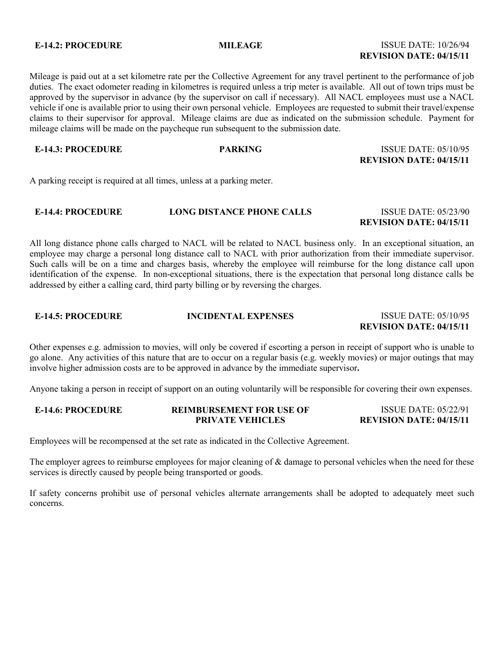# **E-14.2: PROCEDURE MILEAGE MILEAGE ISSUE DATE: 10/26/94 REVISION DATE: 04/15/11**

Mileage is paid out at a set kilometre rate per the Collective Agreement for any travel pertinent to the performance of job duties. The exact odometer reading in kilometres is required unless a trip meter is available. All out of town trips must be approved by the supervisor in advance (by the supervisor on call if necessary). All NACL employees must use a NACL vehicle if one is available prior to using their own personal vehicle. Employees are requested to submit their travel/expense claims to their supervisor for approval. Mileage claims are due as indicated on the submission schedule. Payment for mileage claims will be made on the paycheque run subsequent to the submission date.

# **E-14.3: PROCEDURE PARKING** ISSUE DATE: 05/10/95 **REVISION DATE: 04/15/11**

A parking receipt is required at all times, unless at a parking meter.

## **E-14.4: PROCEDURE LONG DISTANCE PHONE CALLS** ISSUE DATE: 05/23/90 **REVISION DATE: 04/15/11**

All long distance phone calls charged to NACL will be related to NACL business only. In an exceptional situation, an employee may charge a personal long distance call to NACL with prior authorization from their immediate supervisor. Such calls will be on a time and charges basis, whereby the employee will reimburse for the long distance call upon identification of the expense. In non-exceptional situations, there is the expectation that personal long distance calls be addressed by either a calling card, third party billing or by reversing the charges.

# **E-14.5: PROCEDURE INCIDENTAL EXPENSES** ISSUE DATE: 05/10/95 **REVISION DATE: 04/15/11**

Other expenses e.g. admission to movies, will only be covered if escorting a person in receipt of support who is unable to go alone. Any activities of this nature that are to occur on a regular basis (e.g. weekly movies) or major outings that may involve higher admission costs are to be approved in advance by the immediate supervisor**.**

Anyone taking a person in receipt of support on an outing voluntarily will be responsible for covering their own expenses.

| <b>E-14.6: PROCEDURE</b> | <b>REIMBURSEMENT FOR USE OF</b> | <b>ISSUE DATE: 05/22/91</b>    |
|--------------------------|---------------------------------|--------------------------------|
|                          | <b>PRIVATE VEHICLES</b>         | <b>REVISION DATE: 04/15/11</b> |

Employees will be recompensed at the set rate as indicated in the Collective Agreement.

The employer agrees to reimburse employees for major cleaning of & damage to personal vehicles when the need for these services is directly caused by people being transported or goods.

If safety concerns prohibit use of personal vehicles alternate arrangements shall be adopted to adequately meet such concerns.